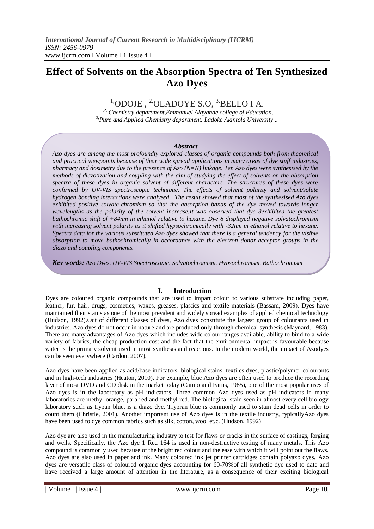# **Effect of Solvents on the Absorption Spectra of Ten Synthesized Azo Dyes**

 $1,0$ DOJE,  $2,0$ LADOYE S.O,  $3,$ BELLO I A.

*1,2, Chemistry department,Emmanuel Alayande college of Education, 3,Pure and Applied Chemistry department. Ladoke Akintola University ,.*

#### *Abstract*

*Azo dyes are among the most profoundly explored classes of organic compounds both from theoretical and practical viewpoints because of their wide spread applications in many areas of dye stuff industries, pharmacy and dosimetry due to the presence of Azo (N=N) linkage. Ten Azo dyes were synthesised by the methods of diazotization and coupling with the aim of studying the effect of solvents on the absorption spectra of these dyes in organic solvent of different characters. The structures of these dyes were confirmed by UV-VIS spectroscopic technique. The effects of solvent polarity and solvent/solute hydrogen bonding interactions were analysed. The result showed that most of the synthesised Azo dyes exhibited positive solvate-chromism so that the absorption bands of the dye moved towards longer wavelengths as the polarity of the solvent increase.It was observed that dye 3exhibited the greatest bathochromic shift of +84nm in ethanol relative to hexane. Dye 8 displayed negative solvatochromism with increasing solvent polarity as it shifted hypsochromically with -32nm in ethanol relative to hexane. Spectra data for the various substituted Azo dyes showed that there is a general tendency for the visible absorption to move bathochromically in accordance with the electron donor-acceptor groups in the diazo and coupling components.*

*Key words; Azo Dyes, UV-VIS Spectroscopic, Solvatochromism, Hypsochromism, Bathochromism*

## **I. Introduction**

Dyes are coloured organic compounds that are used to impart colour to various substrate including paper, leather, fur, hair, drugs, cosmetics, waxes, greases, plastics and textile materials (Bassam, 2009). Dyes have maintained their status as one of the most prevalent and widely spread examples of applied chemical technology (Hudson, 1992).Out of different classes of dyes, Azo dyes constitute the largest group of colourants used in industries. Azo dyes do not occur in nature and are produced only through chemical synthesis (Maynard, 1983). There are many advantages of Azo dyes which includes wide colour ranges available, ability to bind to a wide variety of fabrics, the cheap production cost and the fact that the environmental impact is favourable because water is the primary solvent used in most synthesis and reactions. In the modern world, the impact of Azodyes can be seen everywhere (Cardon, 2007).

Azo dyes have been applied as acid/base indicators, biological stains, textiles dyes, plastic/polymer colourants and in high-tech industries (Heaton, 2010). For example, blue Azo dyes are often used to produce the recording layer of most DVD and CD disk in the market today (Catino and Farns, 1985), one of the most popular uses of Azo dyes is in the laboratory as pH indicators. Three common Azo dyes used as pH indicators in many laboratories are methyl orange, para red and methyl red. The biological stain seen in almost every cell biology laboratory such as trypan blue, is a diazo dye. Trypran blue is commonly used to stain dead cells in order to count them (Christle, 2001). Another important use of Azo dyes is in the textile industry, typicallyAzo dyes have been used to dye common fabrics such as silk, cotton, wool et.c. (Hudson, 1992)

Azo dye are also used in the manufacturing industry to test for flaws or cracks in the surface of castings, forging and wells. Specifically, the Azo dye 1 Red 164 is used in non-destructive testing of many metals. This Azo compound is commonly used because of the bright red colour and the ease with which it will point out the flaws. Azo dyes are also used in paper and ink. Many coloured ink jet printer cartridges contain polyazo dyes. Azo dyes are versatile class of coloured organic dyes accounting for 60-70%of all synthetic dye used to date and have received a large amount of attention in the literature, as a consequence of their exciting biological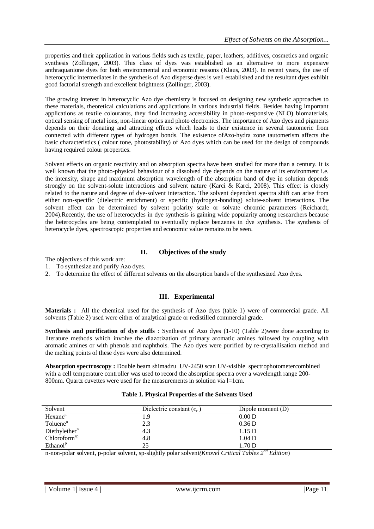properties and their application in various fields such as textile, paper, leathers, additives, cosmetics and organic synthesis (Zollinger, 2003). This class of dyes was established as an alternative to more expensive anthraquanione dyes for both environmental and economic reasons (Klaus, 2003). In recent years, the use of heterocyclic intermediates in the synthesis of Azo disperse dyes is well established and the resultant dyes exhibit good factorial strength and excellent brightness (Zollinger, 2003).

The growing interest in heterocyclic Azo dye chemistry is focused on designing new synthetic approaches to these materials, theoretical calculations and applications in various industrial fields. Besides having important applications as textile colourants, they find increasing accessibility in photo-responsive (NLO) biomaterials, optical sensing of metal ions, non-linear optics and photo electronics. The importance of Azo dyes and pigments depends on their donating and attracting effects which leads to their existence in several tautomeric from connected with different types of hydrogen bonds. The existence ofAzo-hydra zone tautomerism affects the basic characteristics ( colour tone, photostability) of Azo dyes which can be used for the design of compounds having required colour properties.

Solvent effects on organic reactivity and on absorption spectra have been studied for more than a century. It is well known that the photo-physical behaviour of a dissolved dye depends on the nature of its environment i.e. the intensity, shape and maximum absorption wavelength of the absorption band of dye in solution depends strongly on the solvent-solute interactions and solvent nature (Karci & Karci, 2008). This effect is closely related to the nature and degree of dye-solvent interaction. The solvent dependent spectra shift can arise from either non-specific (dielectric enrichment) or specific (hydrogen-bonding) solute-solvent interactions. The solvent effect can be determined by solvent polarity scale or solvate chromic parameters (Reichardt, 2004).Recently, the use of heterocycles in dye synthesis is gaining wide popularity among researchers because the heterocycles are being contemplated to eventually replace benzenes in dye synthesis. The synthesis of heterocycle dyes, spectroscopic properties and economic value remains to be seen.

# **II. Objectives of the study**

The objectives of this work are:

- 1. To synthesize and purify Azo dyes.
- 2. To determine the effect of different solvents on the absorption bands of the synthesized Azo dyes.

## **III. Experimental**

**Materials :** All the chemical used for the synthesis of Azo dyes (table 1) were of commercial grade. All solvents (Table 2) used were either of analytical grade or redistilled commercial grade.

**Synthesis and purification of dye stuffs** : Synthesis of Azo dyes (1-10) (Table 2)were done according to literature methods which involve the diazotization of primary aromatic amines followed by coupling with aromatic amines or with phenols and naphthols. The Azo dyes were purified by re-crystallisation method and the melting points of these dyes were also determined.

**Absorption spectroscopy :** Double beam shimadzu UV-2450 scan UV-visible spectrophotometercombined with a cell temperature controller was used to record the absorption spectra over a wavelength range 200- 800nm. Quartz cuvettes were used for the measurements in solution via l=1cm.

| Solvent                   | Dielectric constant $(\epsilon_{r})$ | Dipole moment (D) |
|---------------------------|--------------------------------------|-------------------|
| Hexane <sup>n</sup>       | 1.9                                  | 0.00 D            |
| Toluene <sup>n</sup>      | 2.3                                  | 0.36 <sub>D</sub> |
| Diethylether <sup>n</sup> | 4.3                                  | 1.15 D            |
| Chloroform <sup>sp</sup>  | 4.8                                  | 1.04 <sub>D</sub> |
| Ethanol <sup>p</sup>      | 25                                   | 1.70 <sub>D</sub> |

#### **Table 1. Physical Properties of the Solvents Used**

n-non-polar solvent, p-polar solvent, sp-slightly polar solvent*(Knovel Critical Tables 2nd Edition*)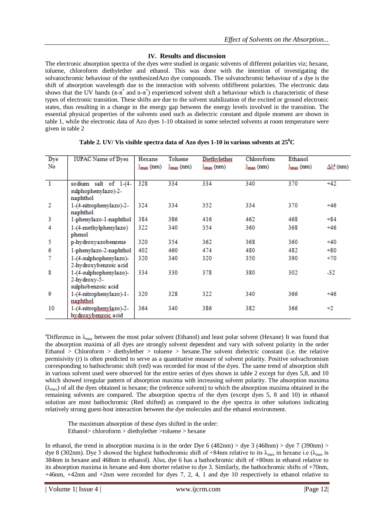# **IV. Results and discussion**

The electronic absorption spectra of the dyes were studied in organic solvents of different polarities viz; hexane, toluene, chloroform diethylether and ethanol. This was done with the intention of investigating the solvatochromic behaviour of the synthesizedAzo dye compounds. The solvatochromic behaviour of a dye is the shift of absorption wavelength due to the interaction with solvents ofdifferent polarities. The electronic data shows that the UV bands  $(\pi-\pi^*)$  and  $n-\pi^*$ ) experienced solvent shift a behaviour which is characteristic of these types of electronic transition. These shifts are due to the solvent stabilization of the excited or ground electronic states, thus resulting in a change in the energy gap between the energy levels involved in the transition. The essential physical properties of the solvents used such as dielectric constant and dipole moment are shown in table 1, while the electronic data of Azo dyes 1-10 obtained in some selected solvents at room temperature were given in table 2

| Dye<br>No      | <b>IUPAC Name of Dyes</b>                                    | Hexane<br>$\lambda_{\max}$ (nm) | Toluene<br>$\lambda_{\text{max}}$ (nm) | Diethylether<br>$\lambda_{\max}$ (nm) | Chloroform<br>$\lambda_{\max}$ (nm) | Ethanol<br>$\lambda_{\max}$ (nm) | $\Delta\lambda_c^2$ (nm) |
|----------------|--------------------------------------------------------------|---------------------------------|----------------------------------------|---------------------------------------|-------------------------------------|----------------------------------|--------------------------|
| $\overline{1}$ | sodium salt of 1-(4-<br>sulphophenylazo)-2-<br>naphthol      | 328                             | 334                                    | 334                                   | 340                                 | 370                              | $+42$                    |
| 2              | 1-(4-nitrophenylazo)-2-<br>naphthol                          | 324                             | 334                                    | 352                                   | 334                                 | 370                              | $+46$                    |
| 3              | 1-phenylazo-1-naphthol                                       | 384                             | 386                                    | 416                                   | 462                                 | 468                              | $+84$                    |
| 4              | 1-(4-methylphenylazo)<br>phenol                              | 322                             | 340                                    | 354                                   | 360                                 | 368                              | $+46$                    |
| 5              | p-hydroxyazobenzene                                          | 320                             | 354                                    | 362                                   | 368                                 | 360                              | $+40$                    |
| 6              | 1-phenylazo-2-naphthol                                       | 402                             | 460                                    | 474                                   | 480                                 | 482                              | $+80$                    |
|                | 1-(4-sulphophenylazo)-<br>2-hydroxybenzoic acid              | 320                             | 340                                    | 320                                   | 350                                 | 390                              | $+70$                    |
| 8              | 1-(4-sulphophenylazo)-<br>2-hydroxy-5-<br>sulphobenzoic acid | 334                             | 330                                    | 378                                   | 380                                 | 302                              | $-32$                    |
| 9              | 1-(4-nitrophenylazo)-1-<br>naphthol                          | 320                             | 328                                    | 322                                   | 340                                 | 366                              | $+46$                    |
| 10             | 1-(4-nitrophenylazo)-2-<br>hydroxybenzoic acid               | 364                             | 340                                    | 386                                   | 382                                 | 366                              | $+2$                     |

#### **Table 2. UV/ Vis visible spectra data of Azo dyes 1-10 in various solvents at 25<sup>0</sup>C**

<sup>a</sup>Difference in  $\lambda_{\text{max}}$  between the most polar solvent (Ethanol) and least polar solvent (Hexane) It was found that the absorption maxima of all dyes are strongly solvent dependent and vary with solvent polarity in the order Ethanol > Chloroform > diethylether > toluene > hexane. The solvent dielectric constant (i.e. the relative permisivity (r) is often predicted to serve as a quantitative measure of solvent polarity. Positive solvachromism corresponding to bathochromic shift (red) was recorded for most of the dyes. The same trend of absorption shift in various solvent used were observed for the entire series of dyes shown in table 2 except for dyes 5,8, and 10 which showed irregular pattern of absorption maxima with increasing solvent polarity. The absorption maxima  $(\lambda_{\text{max}})$  of all the dyes obtained in hexane; the (reference solvent) to which the absorption maxima obtained in the remaining solvents are compared. The absorption spectra of the dyes (except dyes 5, 8 and 10) in ethanol solution are most bathochromic (Red shifted) as compared to the dye spectra in other solutions indicating relatively strong guest-host interaction between the dye molecules and the ethanol environment.

The maximum absorption of these dyes shifted in the order: Ethanol> chloroform > diethylether >toluene > hexane

In ethanol, the trend in absorption maxima is in the order Dye 6 (482nm) > dye 3 (468nm) > dye 7 (390nm) > dye 8 (302nm). Dye 3 showed the highest bathochromic shift of +84nm relative to its  $\lambda_{\text{max}}$  in hexane i.e ( $\lambda_{\text{max}}$  is 384nm in hexane and 468nm in ethanol). Also, dye 6 has a bathochromic shift of +80nm in ethanol relative to its absorption maxima in hexane and 4nm shorter relative to dye 3. Similarly, the bathochromic shifts of +70nm, +46nm, +42nm and +2nm were recorded for dyes 7, 2, 4, 1 and dye 10 respectively in ethanol relative to